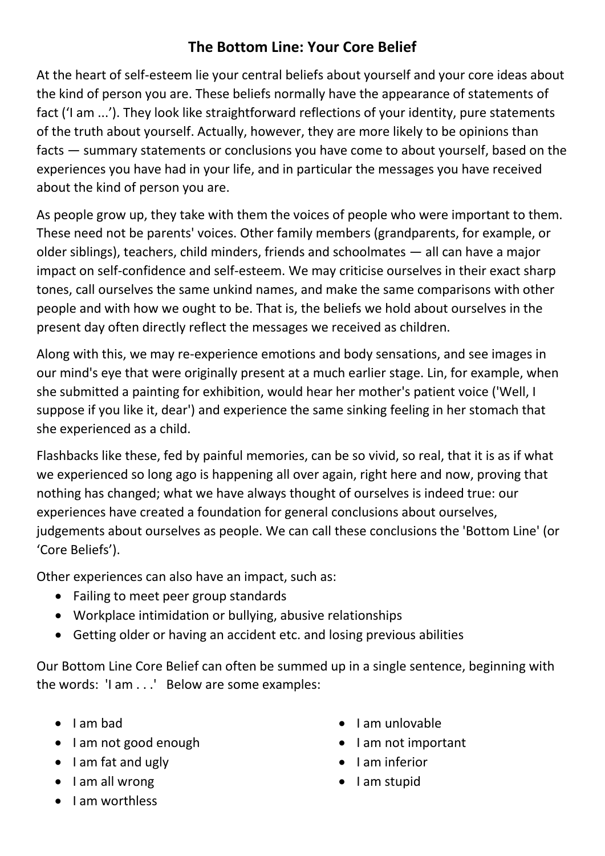## **The Bottom Line: Your Core Belief**

At the heart of self-esteem lie your central beliefs about yourself and your core ideas about the kind of person you are. These beliefs normally have the appearance of statements of fact ('I am ...'). They look like straightforward reflections of your identity, pure statements of the truth about yourself. Actually, however, they are more likely to be opinions than facts — summary statements or conclusions you have come to about yourself, based on the experiences you have had in your life, and in particular the messages you have received about the kind of person you are.

As people grow up, they take with them the voices of people who were important to them. These need not be parents' voices. Other family members (grandparents, for example, or older siblings), teachers, child minders, friends and schoolmates — all can have a major impact on self-confidence and self-esteem. We may criticise ourselves in their exact sharp tones, call ourselves the same unkind names, and make the same comparisons with other people and with how we ought to be. That is, the beliefs we hold about ourselves in the present day often directly reflect the messages we received as children.

Along with this, we may re-experience emotions and body sensations, and see images in our mind's eye that were originally present at a much earlier stage. Lin, for example, when she submitted a painting for exhibition, would hear her mother's patient voice ('Well, I suppose if you like it, dear') and experience the same sinking feeling in her stomach that she experienced as a child.

Flashbacks like these, fed by painful memories, can be so vivid, so real, that it is as if what we experienced so long ago is happening all over again, right here and now, proving that nothing has changed; what we have always thought of ourselves is indeed true: our experiences have created a foundation for general conclusions about ourselves, judgements about ourselves as people. We can call these conclusions the 'Bottom Line' (or 'Core Beliefs').

Other experiences can also have an impact, such as:

- Failing to meet peer group standards
- Workplace intimidation or bullying, abusive relationships
- Getting older or having an accident etc. and losing previous abilities

Our Bottom Line Core Belief can often be summed up in a single sentence, beginning with the words: 'I am . . .' Below are some examples:

- $\bullet$  I am bad
- I am not good enough
- $\bullet$  lam fat and ugly
- $\bullet$  lam all wrong
- I am worthless
- $\bullet$  lam unlovable
- I am not important
- I am inferior
- $\bullet$  lam stupid